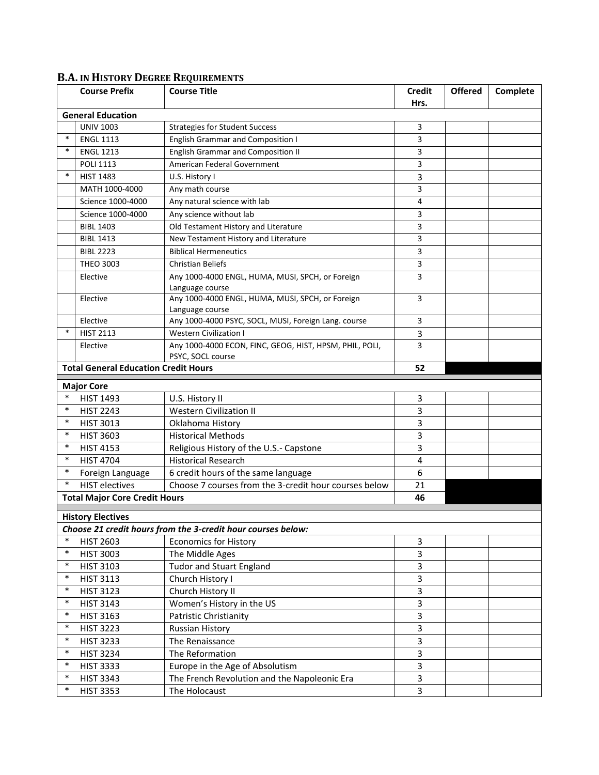## **B.A. IN HISTORY DEGREE REQUIREMENTS**

|                                                              | <b>Course Prefix</b>                        | <b>Course Title</b>                                                          | <b>Credit</b>           | <b>Offered</b> | Complete |  |  |  |  |
|--------------------------------------------------------------|---------------------------------------------|------------------------------------------------------------------------------|-------------------------|----------------|----------|--|--|--|--|
|                                                              |                                             |                                                                              | Hrs.                    |                |          |  |  |  |  |
| <b>General Education</b>                                     |                                             |                                                                              |                         |                |          |  |  |  |  |
|                                                              | <b>UNIV 1003</b>                            | <b>Strategies for Student Success</b>                                        | 3                       |                |          |  |  |  |  |
| ∗                                                            | <b>ENGL 1113</b>                            | <b>English Grammar and Composition I</b>                                     | 3                       |                |          |  |  |  |  |
| $\ast$                                                       | <b>ENGL 1213</b>                            | <b>English Grammar and Composition II</b>                                    | 3                       |                |          |  |  |  |  |
|                                                              | <b>POLI 1113</b>                            | American Federal Government                                                  | 3                       |                |          |  |  |  |  |
| $\ast$                                                       | <b>HIST 1483</b>                            | U.S. History I                                                               | 3                       |                |          |  |  |  |  |
|                                                              | MATH 1000-4000                              | Any math course                                                              | 3                       |                |          |  |  |  |  |
|                                                              | Science 1000-4000                           | Any natural science with lab                                                 | 4                       |                |          |  |  |  |  |
|                                                              | Science 1000-4000                           | Any science without lab                                                      | 3                       |                |          |  |  |  |  |
|                                                              | <b>BIBL 1403</b>                            | Old Testament History and Literature                                         | 3                       |                |          |  |  |  |  |
|                                                              | <b>BIBL 1413</b>                            | New Testament History and Literature                                         | 3                       |                |          |  |  |  |  |
|                                                              | <b>BIBL 2223</b>                            | <b>Biblical Hermeneutics</b>                                                 | 3                       |                |          |  |  |  |  |
|                                                              | <b>THEO 3003</b>                            | <b>Christian Beliefs</b>                                                     | 3                       |                |          |  |  |  |  |
|                                                              | Elective                                    | Any 1000-4000 ENGL, HUMA, MUSI, SPCH, or Foreign                             | 3                       |                |          |  |  |  |  |
|                                                              |                                             | Language course                                                              |                         |                |          |  |  |  |  |
|                                                              | Elective                                    | Any 1000-4000 ENGL, HUMA, MUSI, SPCH, or Foreign                             | 3                       |                |          |  |  |  |  |
|                                                              |                                             | Language course                                                              |                         |                |          |  |  |  |  |
|                                                              | Elective                                    | Any 1000-4000 PSYC, SOCL, MUSI, Foreign Lang. course                         | 3                       |                |          |  |  |  |  |
| $\ast$                                                       | <b>HIST 2113</b>                            | <b>Western Civilization I</b>                                                | 3                       |                |          |  |  |  |  |
|                                                              | Elective                                    | Any 1000-4000 ECON, FINC, GEOG, HIST, HPSM, PHIL, POLI,<br>PSYC, SOCL course | 3                       |                |          |  |  |  |  |
|                                                              | <b>Total General Education Credit Hours</b> |                                                                              | 52                      |                |          |  |  |  |  |
|                                                              |                                             |                                                                              |                         |                |          |  |  |  |  |
| $\ast$                                                       | <b>Major Core</b><br><b>HIST 1493</b>       |                                                                              |                         |                |          |  |  |  |  |
| $\ast$                                                       | <b>HIST 2243</b>                            | U.S. History II<br><b>Western Civilization II</b>                            | 3<br>3                  |                |          |  |  |  |  |
| $\ast$                                                       |                                             |                                                                              | 3                       |                |          |  |  |  |  |
| $\ast$                                                       | <b>HIST 3013</b>                            | Oklahoma History                                                             |                         |                |          |  |  |  |  |
| $\ast$                                                       | <b>HIST 3603</b>                            | <b>Historical Methods</b>                                                    | 3                       |                |          |  |  |  |  |
| $\ast$                                                       | <b>HIST 4153</b>                            | Religious History of the U.S.- Capstone                                      | 3                       |                |          |  |  |  |  |
|                                                              | <b>HIST 4704</b>                            | <b>Historical Research</b>                                                   | $\overline{\mathbf{4}}$ |                |          |  |  |  |  |
| $\ast$                                                       | Foreign Language                            | 6 credit hours of the same language                                          | 6                       |                |          |  |  |  |  |
| $\ast$                                                       | <b>HIST</b> electives                       | Choose 7 courses from the 3-credit hour courses below                        | 21                      |                |          |  |  |  |  |
|                                                              | <b>Total Major Core Credit Hours</b>        |                                                                              | 46                      |                |          |  |  |  |  |
| <b>History Electives</b>                                     |                                             |                                                                              |                         |                |          |  |  |  |  |
| Choose 21 credit hours from the 3-credit hour courses below: |                                             |                                                                              |                         |                |          |  |  |  |  |
| $\ast$                                                       | <b>HIST 2603</b>                            | <b>Economics for History</b>                                                 | 3                       |                |          |  |  |  |  |
| $\ast$                                                       | <b>HIST 3003</b>                            | The Middle Ages                                                              | 3                       |                |          |  |  |  |  |
| $\ast$                                                       | <b>HIST 3103</b>                            | <b>Tudor and Stuart England</b>                                              | 3                       |                |          |  |  |  |  |
| $\ast$                                                       | <b>HIST 3113</b>                            | Church History I                                                             | 3                       |                |          |  |  |  |  |
| $\ast$                                                       | <b>HIST 3123</b>                            | Church History II                                                            | 3                       |                |          |  |  |  |  |
| $\ast$                                                       | <b>HIST 3143</b>                            | Women's History in the US                                                    | 3                       |                |          |  |  |  |  |
| $\ast$                                                       | <b>HIST 3163</b>                            | Patristic Christianity                                                       | 3                       |                |          |  |  |  |  |
| $\ast$                                                       | <b>HIST 3223</b>                            | <b>Russian History</b>                                                       | 3                       |                |          |  |  |  |  |
| $\ast$                                                       | <b>HIST 3233</b>                            | The Renaissance                                                              | 3                       |                |          |  |  |  |  |
| $\ast$                                                       | <b>HIST 3234</b>                            | The Reformation                                                              | 3                       |                |          |  |  |  |  |
| $\ast$                                                       | <b>HIST 3333</b>                            | Europe in the Age of Absolutism                                              | 3                       |                |          |  |  |  |  |
| $\ast$                                                       | <b>HIST 3343</b>                            | The French Revolution and the Napoleonic Era                                 | 3                       |                |          |  |  |  |  |
| $\ast$                                                       | <b>HIST 3353</b>                            | The Holocaust                                                                | 3                       |                |          |  |  |  |  |
|                                                              |                                             |                                                                              |                         |                |          |  |  |  |  |